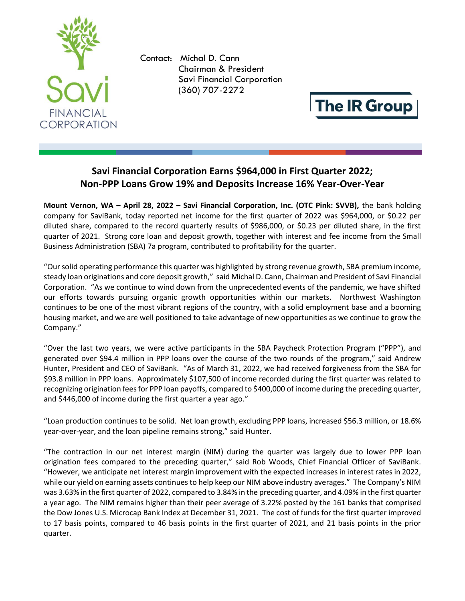

Contact: Michal D. Cann Chairman & President Savi Financial Corporation (360) 707-2272



# **Savi Financial Corporation Earns \$964,000 in First Quarter 2022; Non-PPP Loans Grow 19% and Deposits Increase 16% Year-Over-Year**

**Mount Vernon, WA – April 28, 2022 – Savi Financial Corporation, Inc. (OTC Pink: SVVB),** the bank holding company for SaviBank, today reported net income for the first quarter of 2022 was \$964,000, or \$0.22 per diluted share, compared to the record quarterly results of \$986,000, or \$0.23 per diluted share, in the first quarter of 2021. Strong core loan and deposit growth, together with interest and fee income from the Small Business Administration (SBA) 7a program, contributed to profitability for the quarter.

"Oursolid operating performance this quarter was highlighted by strong revenue growth, SBA premium income, steady loan originations and core deposit growth," said Michal D. Cann, Chairman and President of Savi Financial Corporation. "As we continue to wind down from the unprecedented events of the pandemic, we have shifted our efforts towards pursuing organic growth opportunities within our markets. Northwest Washington continues to be one of the most vibrant regions of the country, with a solid employment base and a booming housing market, and we are well positioned to take advantage of new opportunities as we continue to grow the Company."

"Over the last two years, we were active participants in the SBA Paycheck Protection Program ("PPP"), and generated over \$94.4 million in PPP loans over the course of the two rounds of the program," said Andrew Hunter, President and CEO of SaviBank. "As of March 31, 2022, we had received forgiveness from the SBA for \$93.8 million in PPP loans. Approximately \$107,500 of income recorded during the first quarter was related to recognizing origination fees for PPP loan payoffs, compared to \$400,000 of income during the preceding quarter, and \$446,000 of income during the first quarter a year ago."

"Loan production continues to be solid. Net loan growth, excluding PPP loans, increased \$56.3 million, or 18.6% year-over-year, and the loan pipeline remains strong," said Hunter.

"The contraction in our net interest margin (NIM) during the quarter was largely due to lower PPP loan origination fees compared to the preceding quarter," said Rob Woods, Chief Financial Officer of SaviBank. "However, we anticipate net interest margin improvement with the expected increases in interest rates in 2022, while our yield on earning assets continues to help keep our NIM above industry averages." The Company's NIM was 3.63% in the first quarter of 2022, compared to 3.84% in the preceding quarter, and 4.09% in the first quarter a year ago. The NIM remains higher than their peer average of 3.22% posted by the 161 banks that comprised the Dow Jones U.S. Microcap Bank Index at December 31, 2021. The cost of funds for the first quarter improved to 17 basis points, compared to 46 basis points in the first quarter of 2021, and 21 basis points in the prior quarter.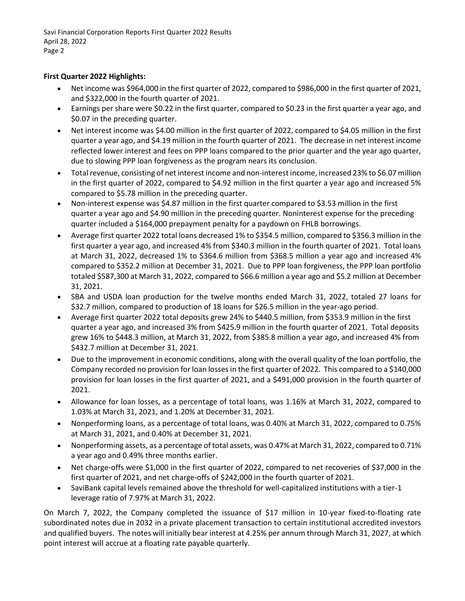Savi Financial Corporation Reports First Quarter 2022 Results April 28, 2022 Page 2

## **First Quarter 2022 Highlights:**

- Net income was \$964,000 in the first quarter of 2022, compared to \$986,000 in the first quarter of 2021, and \$322,000 in the fourth quarter of 2021.
- Earnings per share were \$0.22 in the first quarter, compared to \$0.23 in the first quarter a year ago, and \$0.07 in the preceding quarter.
- Net interest income was \$4.00 million in the first quarter of 2022, compared to \$4.05 million in the first quarter a year ago, and \$4.19 million in the fourth quarter of 2021. The decrease in net interest income reflected lower interest and fees on PPP loans compared to the prior quarter and the year ago quarter, due to slowing PPP loan forgiveness as the program nears its conclusion.
- Total revenue, consisting of net interest income and non-interest income, increased 23% to \$6.07 million in the first quarter of 2022, compared to \$4.92 million in the first quarter a year ago and increased 5% compared to \$5.78 million in the preceding quarter.
- Non-interest expense was \$4.87 million in the first quarter compared to \$3.53 million in the first quarter a year ago and \$4.90 million in the preceding quarter. Noninterest expense for the preceding quarter included a \$164,000 prepayment penalty for a paydown on FHLB borrowings.
- Average first quarter 2022 total loans decreased 1% to \$354.5 million, compared to \$356.3 million in the first quarter a year ago, and increased 4% from \$340.3 million in the fourth quarter of 2021. Total loans at March 31, 2022, decreased 1% to \$364.6 million from \$368.5 million a year ago and increased 4% compared to \$352.2 million at December 31, 2021. Due to PPP loan forgiveness, the PPP loan portfolio totaled \$587,300 at March 31, 2022, compared to \$66.6 million a year ago and \$5.2 million at December 31, 2021.
- SBA and USDA loan production for the twelve months ended March 31, 2022, totaled 27 loans for \$32.7 million, compared to production of 18 loans for \$26.5 million in the year-ago period.
- Average first quarter 2022 total deposits grew 24% to \$440.5 million, from \$353.9 million in the first quarter a year ago, and increased 3% from \$425.9 million in the fourth quarter of 2021. Total deposits grew 16% to \$448.3 million, at March 31, 2022, from \$385.8 million a year ago, and increased 4% from \$432.7 million at December 31, 2021.
- Due to the improvement in economic conditions, along with the overall quality of the loan portfolio, the Company recorded no provision for loan losses in the first quarter of 2022. This compared to a \$140,000 provision for loan losses in the first quarter of 2021, and a \$491,000 provision in the fourth quarter of 2021.
- Allowance for loan losses, as a percentage of total loans, was 1.16% at March 31, 2022, compared to 1.03% at March 31, 2021, and 1.20% at December 31, 2021.
- Nonperforming loans, as a percentage of total loans, was 0.40% at March 31, 2022, compared to 0.75% at March 31, 2021, and 0.40% at December 31, 2021.
- Nonperforming assets, as a percentage of total assets, was 0.47% at March 31, 2022, compared to 0.71% a year ago and 0.49% three months earlier.
- Net charge-offs were \$1,000 in the first quarter of 2022, compared to net recoveries of \$37,000 in the first quarter of 2021, and net charge-offs of \$242,000 in the fourth quarter of 2021.
- SaviBank capital levels remained above the threshold for well-capitalized institutions with a tier-1 leverage ratio of 7.97% at March 31, 2022.

On March 7, 2022, the Company completed the issuance of \$17 million in 10-year fixed-to-floating rate subordinated notes due in 2032 in a private placement transaction to certain institutional accredited investors and qualified buyers. The notes will initially bear interest at 4.25% per annum through March 31, 2027, at which point interest will accrue at a floating rate payable quarterly.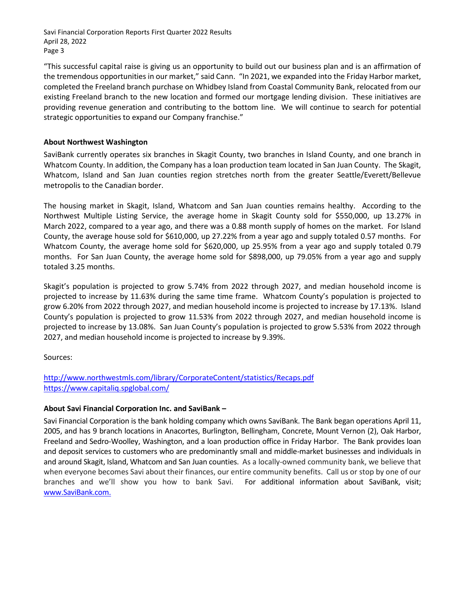Savi Financial Corporation Reports First Quarter 2022 Results April 28, 2022 Page 3

"This successful capital raise is giving us an opportunity to build out our business plan and is an affirmation of the tremendous opportunities in our market," said Cann. "In 2021, we expanded into the Friday Harbor market, completed the Freeland branch purchase on Whidbey Island from Coastal Community Bank, relocated from our existing Freeland branch to the new location and formed our mortgage lending division. These initiatives are providing revenue generation and contributing to the bottom line. We will continue to search for potential strategic opportunities to expand our Company franchise."

# **About Northwest Washington**

SaviBank currently operates six branches in Skagit County, two branches in Island County, and one branch in Whatcom County. In addition, the Company has a loan production team located in San Juan County. The Skagit, Whatcom, Island and San Juan counties region stretches north from the greater Seattle/Everett/Bellevue metropolis to the Canadian border.

The housing market in Skagit, Island, Whatcom and San Juan counties remains healthy. According to the Northwest Multiple Listing Service, the average home in Skagit County sold for \$550,000, up 13.27% in March 2022, compared to a year ago, and there was a 0.88 month supply of homes on the market. For Island County, the average house sold for \$610,000, up 27.22% from a year ago and supply totaled 0.57 months. For Whatcom County, the average home sold for \$620,000, up 25.95% from a year ago and supply totaled 0.79 months. For San Juan County, the average home sold for \$898,000, up 79.05% from a year ago and supply totaled 3.25 months.

Skagit's population is projected to grow 5.74% from 2022 through 2027, and median household income is projected to increase by 11.63% during the same time frame. Whatcom County's population is projected to grow 6.20% from 2022 through 2027, and median household income is projected to increase by 17.13%. Island County's population is projected to grow 11.53% from 2022 through 2027, and median household income is projected to increase by 13.08%. San Juan County's population is projected to grow 5.53% from 2022 through 2027, and median household income is projected to increase by 9.39%.

### Sources:

<http://www.northwestmls.com/library/CorporateContent/statistics/Recaps.pdf> https://www.capitaliq.spglobal.com/

### **About Savi Financial Corporation Inc. and SaviBank –**

Savi Financial Corporation is the bank holding company which owns SaviBank. The Bank began operations April 11, 2005, and has 9 branch locations in Anacortes, Burlington, Bellingham, Concrete, Mount Vernon (2), Oak Harbor, Freeland and Sedro-Woolley, Washington, and a loan production office in Friday Harbor. The Bank provides loan and deposit services to customers who are predominantly small and middle-market businesses and individuals in and around Skagit, Island, Whatcom and San Juan counties. As a locally-owned community bank, we believe that when everyone becomes Savi about their finances, our entire community benefits. Call us or stop by one of our branches and we'll show you how to bank Savi. For additional information about SaviBank, visit; [www.SaviBank.com.](http://www.savibank.com/)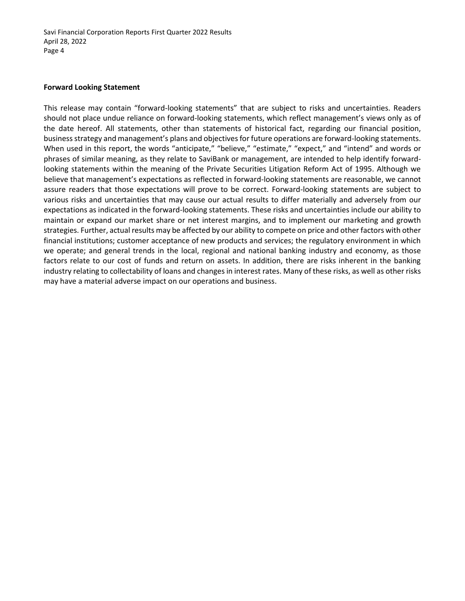#### **Forward Looking Statement**

This release may contain "forward-looking statements" that are subject to risks and uncertainties. Readers should not place undue reliance on forward-looking statements, which reflect management's views only as of the date hereof. All statements, other than statements of historical fact, regarding our financial position, business strategy and management's plans and objectives for future operations are forward-looking statements. When used in this report, the words "anticipate," "believe," "estimate," "expect," and "intend" and words or phrases of similar meaning, as they relate to SaviBank or management, are intended to help identify forwardlooking statements within the meaning of the Private Securities Litigation Reform Act of 1995. Although we believe that management's expectations as reflected in forward-looking statements are reasonable, we cannot assure readers that those expectations will prove to be correct. Forward-looking statements are subject to various risks and uncertainties that may cause our actual results to differ materially and adversely from our expectations as indicated in the forward-looking statements. These risks and uncertainties include our ability to maintain or expand our market share or net interest margins, and to implement our marketing and growth strategies. Further, actual results may be affected by our ability to compete on price and other factors with other financial institutions; customer acceptance of new products and services; the regulatory environment in which we operate; and general trends in the local, regional and national banking industry and economy, as those factors relate to our cost of funds and return on assets. In addition, there are risks inherent in the banking industry relating to collectability of loans and changes in interest rates. Many of these risks, as well as other risks may have a material adverse impact on our operations and business.